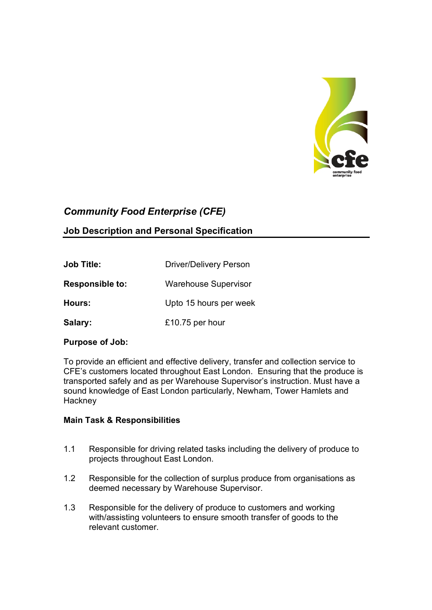

# Community Food Enterprise (CFE)

# Job Description and Personal Specification

| <b>Job Title:</b>      | <b>Driver/Delivery Person</b> |
|------------------------|-------------------------------|
| <b>Responsible to:</b> | <b>Warehouse Supervisor</b>   |
| Hours:                 | Upto 15 hours per week        |
| Salary:                | £10.75 per hour               |

#### Purpose of Job:

To provide an efficient and effective delivery, transfer and collection service to CFE's customers located throughout East London. Ensuring that the produce is transported safely and as per Warehouse Supervisor's instruction. Must have a sound knowledge of East London particularly, Newham, Tower Hamlets and **Hackney** 

#### Main Task & Responsibilities

- 1.1 Responsible for driving related tasks including the delivery of produce to projects throughout East London.
- 1.2 Responsible for the collection of surplus produce from organisations as deemed necessary by Warehouse Supervisor.
- 1.3 Responsible for the delivery of produce to customers and working with/assisting volunteers to ensure smooth transfer of goods to the relevant customer.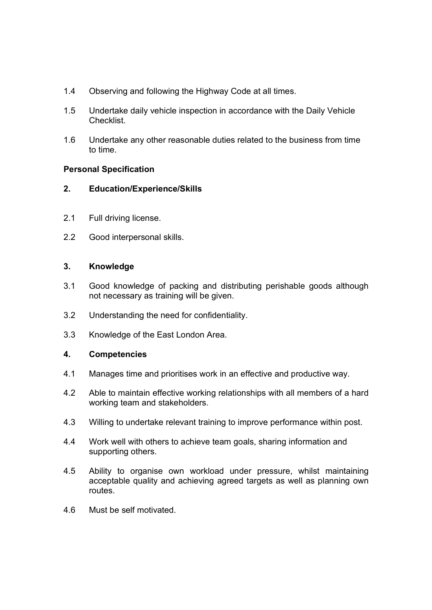- 1.4 Observing and following the Highway Code at all times.
- 1.5 Undertake daily vehicle inspection in accordance with the Daily Vehicle Checklist.
- 1.6 Undertake any other reasonable duties related to the business from time to time.

#### Personal Specification

- 2. Education/Experience/Skills
- 2.1 Full driving license.
- 2.2 Good interpersonal skills.

#### 3. Knowledge

- 3.1 Good knowledge of packing and distributing perishable goods although not necessary as training will be given.
- 3.2 Understanding the need for confidentiality.
- 3.3 Knowledge of the East London Area.

## 4. Competencies

- 4.1 Manages time and prioritises work in an effective and productive way.
- 4.2 Able to maintain effective working relationships with all members of a hard working team and stakeholders.
- 4.3 Willing to undertake relevant training to improve performance within post.
- 4.4 Work well with others to achieve team goals, sharing information and supporting others.
- 4.5 Ability to organise own workload under pressure, whilst maintaining acceptable quality and achieving agreed targets as well as planning own routes.
- 4.6 Must be self motivated.